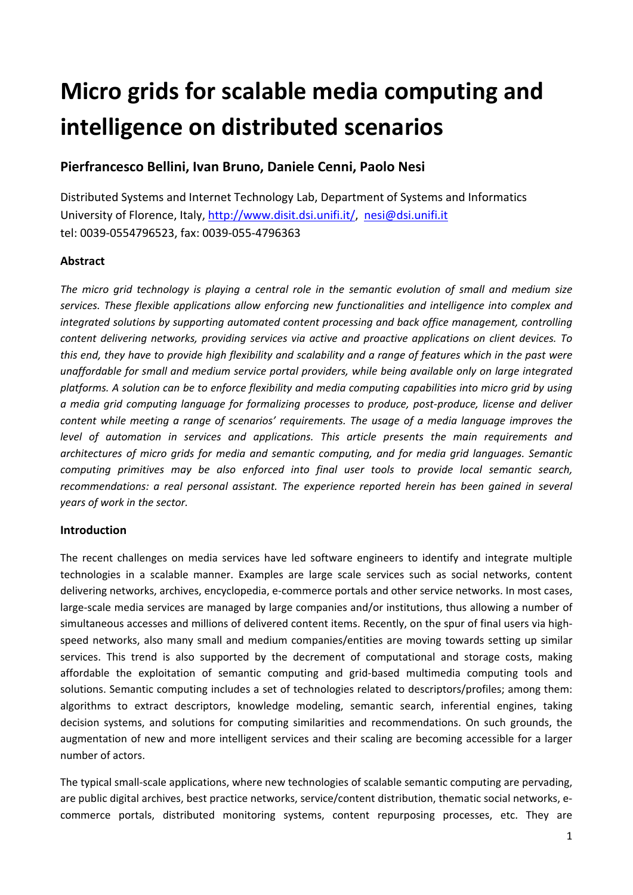# **Micro grids for scalable media computing and intelligence on distributed scenarios**

## **Pierfrancesco Bellini, Ivan Bruno, Daniele Cenni, Paolo Nesi**

Distributed Systems and Internet Technology Lab, Department of Systems and Informatics University of Florence, Italy, http://www.disit.dsi.unifi.it/, nesi@dsi.unifi.it tel: 0039‐0554796523, fax: 0039‐055‐4796363

## **Abstract**

The micro grid technology is playing a central role in the semantic evolution of small and medium size *services. These flexible applications allow enforcing new functionalities and intelligence into complex and integrated solutions by supporting automated content processing and back office management, controlling content delivering networks, providing services via active and proactive applications on client devices. To* this end, they have to provide high flexibility and scalability and a range of features which in the past were *unaffordable for small and medium service portal providers, while being available only on large integrated* platforms. A solution can be to enforce flexibility and media computing capabilities into micro grid by using *a media grid computing language for formalizing processes to produce, post‐produce, license and deliver content while meeting a range of scenarios' requirements. The usage of a media language improves the level of automation in services and applications. This article presents the main requirements and architectures of micro grids for media and semantic computing, and for media grid languages. Semantic computing primitives may be also enforced into final user tools to provide local semantic search, recommendations: a real personal assistant. The experience reported herein has been gained in several years of work in the sector.*

## **Introduction**

The recent challenges on media services have led software engineers to identify and integrate multiple technologies in a scalable manner. Examples are large scale services such as social networks, content delivering networks, archives, encyclopedia, e‐commerce portals and other service networks. In most cases, large-scale media services are managed by large companies and/or institutions, thus allowing a number of simultaneous accesses and millions of delivered content items. Recently, on the spur of final users via highspeed networks, also many small and medium companies/entities are moving towards setting up similar services. This trend is also supported by the decrement of computational and storage costs, making affordable the exploitation of semantic computing and grid‐based multimedia computing tools and solutions. Semantic computing includes a set of technologies related to descriptors/profiles; among them: algorithms to extract descriptors, knowledge modeling, semantic search, inferential engines, taking decision systems, and solutions for computing similarities and recommendations. On such grounds, the augmentation of new and more intelligent services and their scaling are becoming accessible for a larger number of actors.

The typical small‐scale applications, where new technologies of scalable semantic computing are pervading, are public digital archives, best practice networks, service/content distribution, thematic social networks, e‐ commerce portals, distributed monitoring systems, content repurposing processes, etc. They are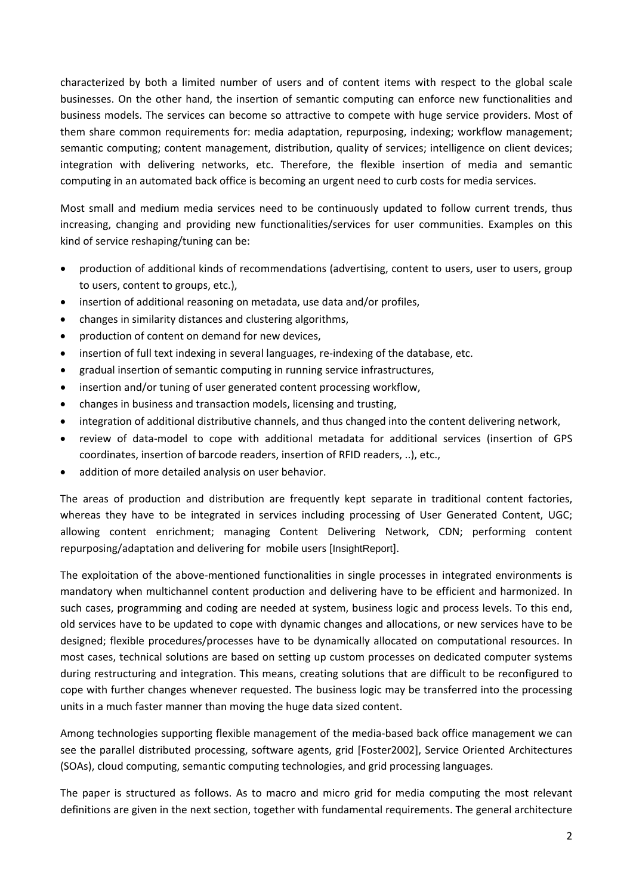characterized by both a limited number of users and of content items with respect to the global scale businesses. On the other hand, the insertion of semantic computing can enforce new functionalities and business models. The services can become so attractive to compete with huge service providers. Most of them share common requirements for: media adaptation, repurposing, indexing; workflow management; semantic computing; content management, distribution, quality of services; intelligence on client devices; integration with delivering networks, etc. Therefore, the flexible insertion of media and semantic computing in an automated back office is becoming an urgent need to curb costs for media services.

Most small and medium media services need to be continuously updated to follow current trends, thus increasing, changing and providing new functionalities/services for user communities. Examples on this kind of service reshaping/tuning can be:

- production of additional kinds of recommendations (advertising, content to users, user to users, group to users, content to groups, etc.),
- insertion of additional reasoning on metadata, use data and/or profiles,
- changes in similarity distances and clustering algorithms,
- production of content on demand for new devices,
- insertion of full text indexing in several languages, re-indexing of the database, etc.
- gradual insertion of semantic computing in running service infrastructures,
- insertion and/or tuning of user generated content processing workflow,
- changes in business and transaction models, licensing and trusting,
- integration of additional distributive channels, and thus changed into the content delivering network,
- review of data‐model to cope with additional metadata for additional services (insertion of GPS coordinates, insertion of barcode readers, insertion of RFID readers, ..), etc.,
- addition of more detailed analysis on user behavior.

The areas of production and distribution are frequently kept separate in traditional content factories, whereas they have to be integrated in services including processing of User Generated Content, UGC; allowing content enrichment; managing Content Delivering Network, CDN; performing content repurposing/adaptation and delivering for mobile users [InsightReport].

The exploitation of the above-mentioned functionalities in single processes in integrated environments is mandatory when multichannel content production and delivering have to be efficient and harmonized. In such cases, programming and coding are needed at system, business logic and process levels. To this end, old services have to be updated to cope with dynamic changes and allocations, or new services have to be designed; flexible procedures/processes have to be dynamically allocated on computational resources. In most cases, technical solutions are based on setting up custom processes on dedicated computer systems during restructuring and integration. This means, creating solutions that are difficult to be reconfigured to cope with further changes whenever requested. The business logic may be transferred into the processing units in a much faster manner than moving the huge data sized content.

Among technologies supporting flexible management of the media‐based back office management we can see the parallel distributed processing, software agents, grid [Foster2002], Service Oriented Architectures (SOAs), cloud computing, semantic computing technologies, and grid processing languages.

The paper is structured as follows. As to macro and micro grid for media computing the most relevant definitions are given in the next section, together with fundamental requirements. The general architecture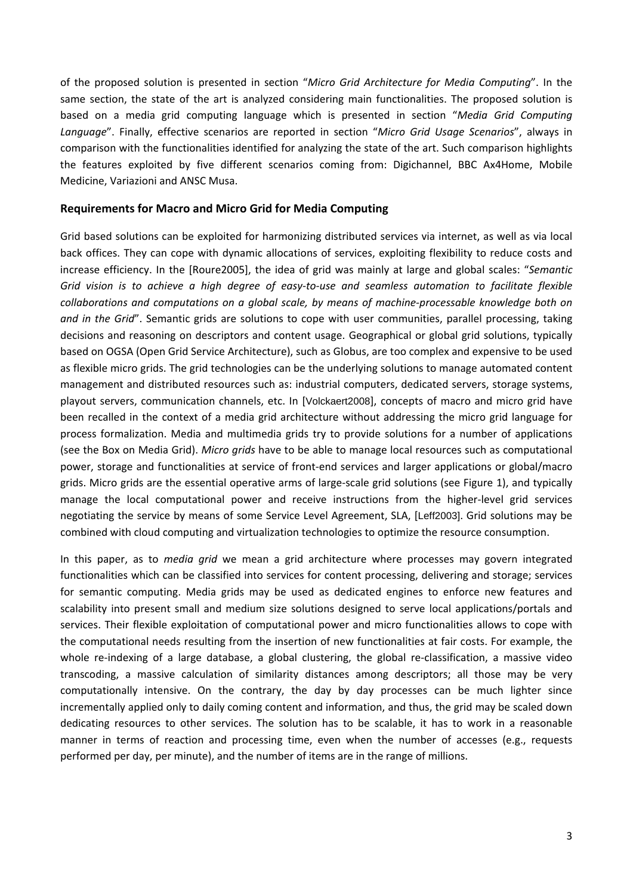of the proposed solution is presented in section "*Micro Grid Architecture for Media Computing*". In the same section, the state of the art is analyzed considering main functionalities. The proposed solution is based on a media grid computing language which is presented in section "*Media Grid Computing Language*". Finally, effective scenarios are reported in section "*Micro Grid Usage Scenarios*", always in comparison with the functionalities identified for analyzing the state of the art. Such comparison highlights the features exploited by five different scenarios coming from: Digichannel, BBC Ax4Home, Mobile Medicine, Variazioni and ANSC Musa.

#### **Requirements for Macro and Micro Grid for Media Computing**

Grid based solutions can be exploited for harmonizing distributed services via internet, as well as via local back offices. They can cope with dynamic allocations of services, exploiting flexibility to reduce costs and increase efficiency. In the [Roure2005], the idea of grid was mainly at large and global scales: "*Semantic* Grid vision is to achieve a high degree of easy-to-use and seamless automation to facilitate flexible *collaborations and computations on a global scale, by means of machine‐processable knowledge both on and in the Grid*". Semantic grids are solutions to cope with user communities, parallel processing, taking decisions and reasoning on descriptors and content usage. Geographical or global grid solutions, typically based on OGSA (Open Grid Service Architecture), such as Globus, are too complex and expensive to be used as flexible micro grids. The grid technologies can be the underlying solutions to manage automated content management and distributed resources such as: industrial computers, dedicated servers, storage systems, playout servers, communication channels, etc. In [Volckaert2008], concepts of macro and micro grid have been recalled in the context of a media grid architecture without addressing the micro grid language for process formalization. Media and multimedia grids try to provide solutions for a number of applications (see the Box on Media Grid). *Micro grids* have to be able to manage local resources such as computational power, storage and functionalities at service of front‐end services and larger applications or global/macro grids. Micro grids are the essential operative arms of large‐scale grid solutions (see Figure 1), and typically manage the local computational power and receive instructions from the higher-level grid services negotiating the service by means of some Service Level Agreement, SLA, [Leff2003]. Grid solutions may be combined with cloud computing and virtualization technologies to optimize the resource consumption.

In this paper, as to *media grid* we mean a grid architecture where processes may govern integrated functionalities which can be classified into services for content processing, delivering and storage; services for semantic computing. Media grids may be used as dedicated engines to enforce new features and scalability into present small and medium size solutions designed to serve local applications/portals and services. Their flexible exploitation of computational power and micro functionalities allows to cope with the computational needs resulting from the insertion of new functionalities at fair costs. For example, the whole re-indexing of a large database, a global clustering, the global re-classification, a massive video transcoding, a massive calculation of similarity distances among descriptors; all those may be very computationally intensive. On the contrary, the day by day processes can be much lighter since incrementally applied only to daily coming content and information, and thus, the grid may be scaled down dedicating resources to other services. The solution has to be scalable, it has to work in a reasonable manner in terms of reaction and processing time, even when the number of accesses (e.g., requests performed per day, per minute), and the number of items are in the range of millions.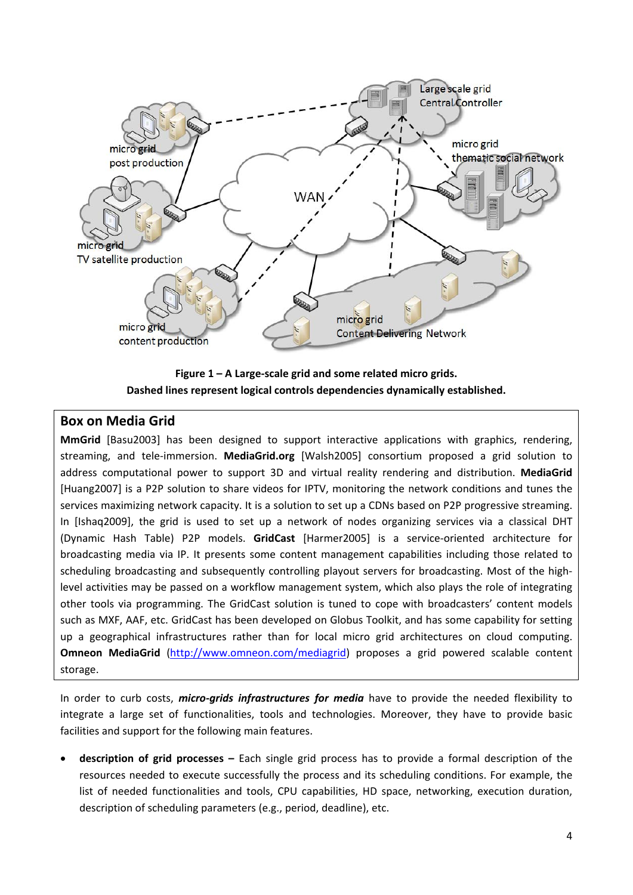

**Figure 1 – A Large‐scale grid and some related micro grids. Dashed lines represent logical controls dependencies dynamically established.**

## **Box on Media Grid**

**MmGrid** [Basu2003] has been designed to support interactive applications with graphics, rendering, streaming, and tele‐immersion. **MediaGrid.org** [Walsh2005] consortium proposed a grid solution to address computational power to support 3D and virtual reality rendering and distribution. **MediaGrid** [Huang2007] is a P2P solution to share videos for IPTV, monitoring the network conditions and tunes the services maximizing network capacity. It is a solution to set up a CDNs based on P2P progressive streaming. In [Ishaq2009], the grid is used to set up a network of nodes organizing services via a classical DHT (Dynamic Hash Table) P2P models. **GridCast** [Harmer2005] is a service‐oriented architecture for broadcasting media via IP. It presents some content management capabilities including those related to scheduling broadcasting and subsequently controlling playout servers for broadcasting. Most of the highlevel activities may be passed on a workflow management system, which also plays the role of integrating other tools via programming. The GridCast solution is tuned to cope with broadcasters' content models such as MXF, AAF, etc. GridCast has been developed on Globus Toolkit, and has some capability for setting up a geographical infrastructures rather than for local micro grid architectures on cloud computing. **Omneon MediaGrid** (http://www.omneon.com/mediagrid) proposes a grid powered scalable content storage.

In order to curb costs, *micro-grids infrastructures for media* have to provide the needed flexibility to integrate a large set of functionalities, tools and technologies. Moreover, they have to provide basic facilities and support for the following main features.

 **description of grid processes –** Each single grid process has to provide a formal description of the resources needed to execute successfully the process and its scheduling conditions. For example, the list of needed functionalities and tools, CPU capabilities, HD space, networking, execution duration, description of scheduling parameters (e.g., period, deadline), etc.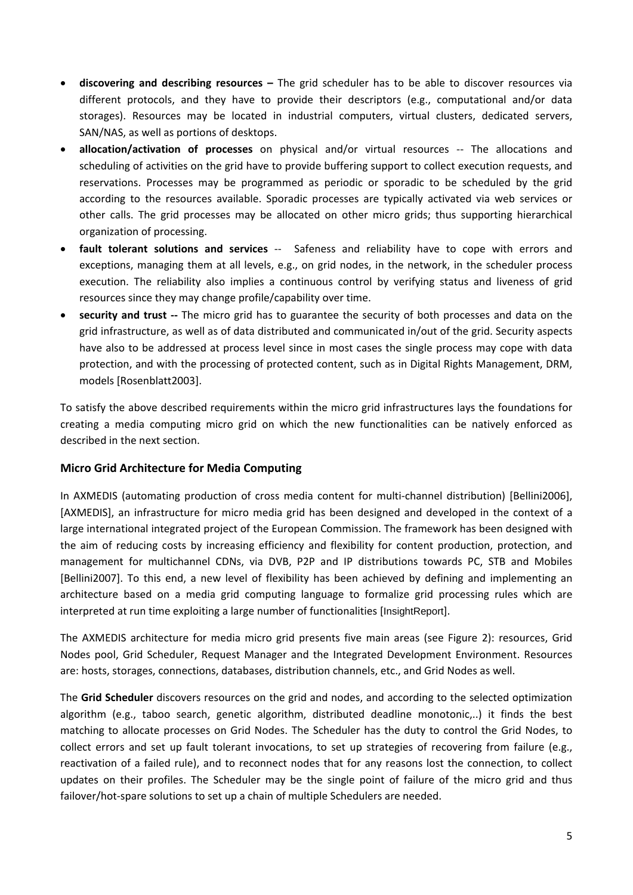- **discovering and describing resources –** The grid scheduler has to be able to discover resources via different protocols, and they have to provide their descriptors (e.g., computational and/or data storages). Resources may be located in industrial computers, virtual clusters, dedicated servers, SAN/NAS, as well as portions of desktops.
- **allocation/activation of processes** on physical and/or virtual resources ‐‐ The allocations and scheduling of activities on the grid have to provide buffering support to collect execution requests, and reservations. Processes may be programmed as periodic or sporadic to be scheduled by the grid according to the resources available. Sporadic processes are typically activated via web services or other calls. The grid processes may be allocated on other micro grids; thus supporting hierarchical organization of processing.
- **fault tolerant solutions and services** ‐‐ Safeness and reliability have to cope with errors and exceptions, managing them at all levels, e.g., on grid nodes, in the network, in the scheduler process execution. The reliability also implies a continuous control by verifying status and liveness of grid resources since they may change profile/capability over time.
- **security and trust ‐‐** The micro grid has to guarantee the security of both processes and data on the grid infrastructure, as well as of data distributed and communicated in/out of the grid. Security aspects have also to be addressed at process level since in most cases the single process may cope with data protection, and with the processing of protected content, such as in Digital Rights Management, DRM, models [Rosenblatt2003].

To satisfy the above described requirements within the micro grid infrastructures lays the foundations for creating a media computing micro grid on which the new functionalities can be natively enforced as described in the next section.

#### **Micro Grid Architecture for Media Computing**

In AXMEDIS (automating production of cross media content for multi-channel distribution) [Bellini2006], [AXMEDIS], an infrastructure for micro media grid has been designed and developed in the context of a large international integrated project of the European Commission. The framework has been designed with the aim of reducing costs by increasing efficiency and flexibility for content production, protection, and management for multichannel CDNs, via DVB, P2P and IP distributions towards PC, STB and Mobiles [Bellini2007]. To this end, a new level of flexibility has been achieved by defining and implementing an architecture based on a media grid computing language to formalize grid processing rules which are interpreted at run time exploiting a large number of functionalities [InsightReport].

The AXMEDIS architecture for media micro grid presents five main areas (see Figure 2): resources, Grid Nodes pool, Grid Scheduler, Request Manager and the Integrated Development Environment. Resources are: hosts, storages, connections, databases, distribution channels, etc., and Grid Nodes as well.

The **Grid Scheduler** discovers resources on the grid and nodes, and according to the selected optimization algorithm (e.g., taboo search, genetic algorithm, distributed deadline monotonic,..) it finds the best matching to allocate processes on Grid Nodes. The Scheduler has the duty to control the Grid Nodes, to collect errors and set up fault tolerant invocations, to set up strategies of recovering from failure (e.g., reactivation of a failed rule), and to reconnect nodes that for any reasons lost the connection, to collect updates on their profiles. The Scheduler may be the single point of failure of the micro grid and thus failover/hot-spare solutions to set up a chain of multiple Schedulers are needed.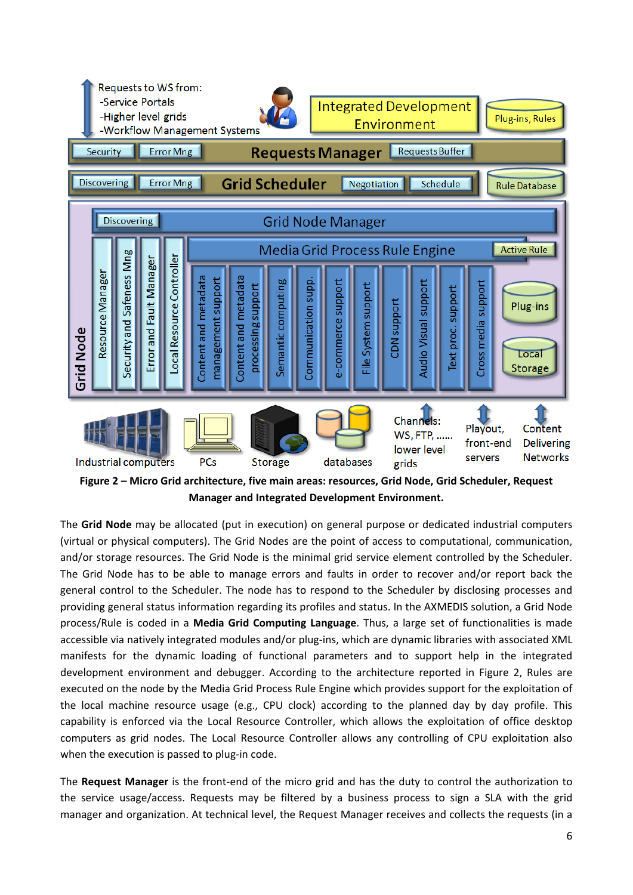

**Figure 2 – Micro Grid architecture, five main areas: resources, Grid Node, Grid Scheduler, Request Manager and Integrated Development Environment.**

The **Grid Node** may be allocated (put in execution) on general purpose or dedicated industrial computers (virtual or physical computers). The Grid Nodes are the point of access to computational, communication, and/or storage resources. The Grid Node is the minimal grid service element controlled by the Scheduler. The Grid Node has to be able to manage errors and faults in order to recover and/or report back the general control to the Scheduler. The node has to respond to the Scheduler by disclosing processes and providing general status information regarding its profiles and status. In the AXMEDIS solution, a Grid Node process/Rule is coded in a **Media Grid Computing Language**. Thus, a large set of functionalities is made accessible via natively integrated modules and/or plug‐ins, which are dynamic libraries with associated XML manifests for the dynamic loading of functional parameters and to support help in the integrated development environment and debugger. According to the architecture reported in Figure 2, Rules are executed on the node by the Media Grid Process Rule Engine which provides support for the exploitation of the local machine resource usage (e.g., CPU clock) according to the planned day by day profile. This capability is enforced via the Local Resource Controller, which allows the exploitation of office desktop computers as grid nodes. The Local Resource Controller allows any controlling of CPU exploitation also when the execution is passed to plug-in code.

The **Request Manager** is the front‐end of the micro grid and has the duty to control the authorization to the service usage/access. Requests may be filtered by a business process to sign a SLA with the grid manager and organization. At technical level, the Request Manager receives and collects the requests (in a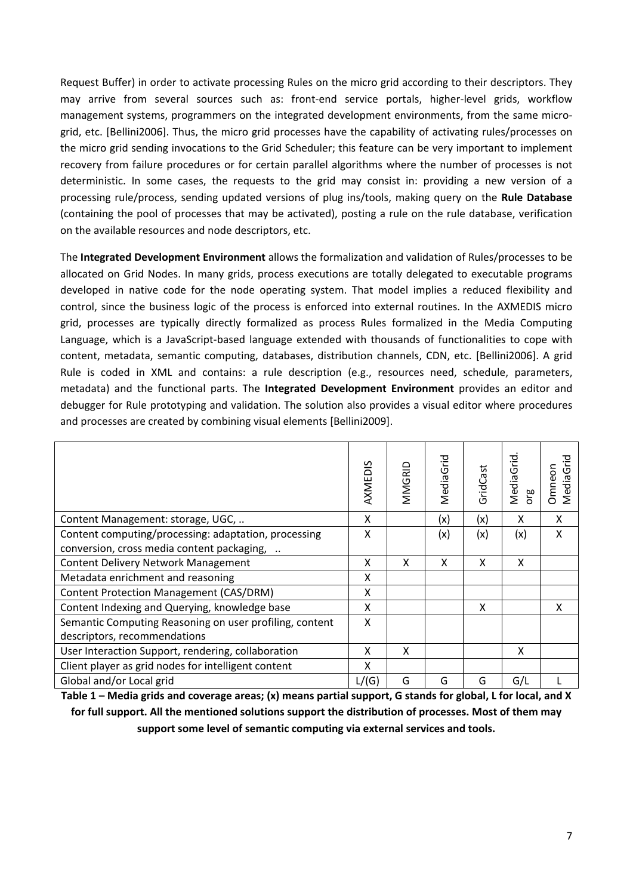Request Buffer) in order to activate processing Rules on the micro grid according to their descriptors. They may arrive from several sources such as: front-end service portals, higher-level grids, workflow management systems, programmers on the integrated development environments, from the same microgrid, etc. [Bellini2006]. Thus, the micro grid processes have the capability of activating rules/processes on the micro grid sending invocations to the Grid Scheduler; this feature can be very important to implement recovery from failure procedures or for certain parallel algorithms where the number of processes is not deterministic. In some cases, the requests to the grid may consist in: providing a new version of a processing rule/process, sending updated versions of plug ins/tools, making query on the **Rule Database** (containing the pool of processes that may be activated), posting a rule on the rule database, verification on the available resources and node descriptors, etc.

The **Integrated Development Environment** allows the formalization and validation of Rules/processes to be allocated on Grid Nodes. In many grids, process executions are totally delegated to executable programs developed in native code for the node operating system. That model implies a reduced flexibility and control, since the business logic of the process is enforced into external routines. In the AXMEDIS micro grid, processes are typically directly formalized as process Rules formalized in the Media Computing Language, which is a JavaScript-based language extended with thousands of functionalities to cope with content, metadata, semantic computing, databases, distribution channels, CDN, etc. [Bellini2006]. A grid Rule is coded in XML and contains: a rule description (e.g., resources need, schedule, parameters, metadata) and the functional parts. The **Integrated Development Environment** provides an editor and debugger for Rule prototyping and validation. The solution also provides a visual editor where procedures and processes are created by combining visual elements [Bellini2009].

|                                                         | AXMEDIS | MMGRID | MediaGrid | GridCast | MediaGrid<br>ဗ္ | Omneon<br>VediaG |
|---------------------------------------------------------|---------|--------|-----------|----------|-----------------|------------------|
| Content Management: storage, UGC,                       | X       |        | (x)       | (x)      | X               | X                |
| Content computing/processing: adaptation, processing    | X       |        | (x)       | (x)      | (x)             | X                |
| conversion, cross media content packaging,              |         |        |           |          |                 |                  |
| <b>Content Delivery Network Management</b>              | X       | x      | X         | X        | X               |                  |
| Metadata enrichment and reasoning                       | X       |        |           |          |                 |                  |
| <b>Content Protection Management (CAS/DRM)</b>          | X       |        |           |          |                 |                  |
| Content Indexing and Querying, knowledge base           | X       |        |           | X        |                 | x                |
| Semantic Computing Reasoning on user profiling, content | X       |        |           |          |                 |                  |
| descriptors, recommendations                            |         |        |           |          |                 |                  |
| User Interaction Support, rendering, collaboration      | X       | X      |           |          | X               |                  |
| Client player as grid nodes for intelligent content     | X       |        |           |          |                 |                  |
| Global and/or Local grid                                | L/(G)   | G      | G         | G        | G/L             |                  |

Table 1 – Media grids and coverage areas; (x) means partial support, G stands for global, L for local, and X **for full support. All the mentioned solutions support the distribution of processes. Most of them may support some level of semantic computing via external services and tools.**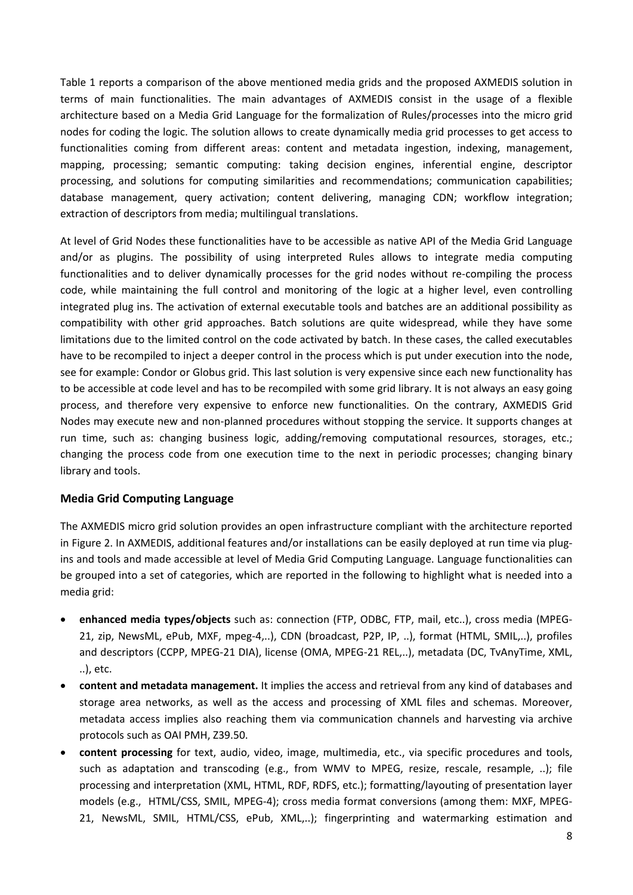Table 1 reports a comparison of the above mentioned media grids and the proposed AXMEDIS solution in terms of main functionalities. The main advantages of AXMEDIS consist in the usage of a flexible architecture based on a Media Grid Language for the formalization of Rules/processes into the micro grid nodes for coding the logic. The solution allows to create dynamically media grid processes to get access to functionalities coming from different areas: content and metadata ingestion, indexing, management, mapping, processing; semantic computing: taking decision engines, inferential engine, descriptor processing, and solutions for computing similarities and recommendations; communication capabilities; database management, query activation; content delivering, managing CDN; workflow integration; extraction of descriptors from media; multilingual translations.

At level of Grid Nodes these functionalities have to be accessible as native API of the Media Grid Language and/or as plugins. The possibility of using interpreted Rules allows to integrate media computing functionalities and to deliver dynamically processes for the grid nodes without re‐compiling the process code, while maintaining the full control and monitoring of the logic at a higher level, even controlling integrated plug ins. The activation of external executable tools and batches are an additional possibility as compatibility with other grid approaches. Batch solutions are quite widespread, while they have some limitations due to the limited control on the code activated by batch. In these cases, the called executables have to be recompiled to inject a deeper control in the process which is put under execution into the node, see for example: Condor or Globus grid. This last solution is very expensive since each new functionality has to be accessible at code level and has to be recompiled with some grid library. It is not always an easy going process, and therefore very expensive to enforce new functionalities. On the contrary, AXMEDIS Grid Nodes may execute new and non‐planned procedures without stopping the service. It supports changes at run time, such as: changing business logic, adding/removing computational resources, storages, etc.; changing the process code from one execution time to the next in periodic processes; changing binary library and tools.

#### **Media Grid Computing Language**

The AXMEDIS micro grid solution provides an open infrastructure compliant with the architecture reported in Figure 2. In AXMEDIS, additional features and/or installations can be easily deployed at run time via plug‐ ins and tools and made accessible at level of Media Grid Computing Language. Language functionalities can be grouped into a set of categories, which are reported in the following to highlight what is needed into a media grid:

- **enhanced media types/objects** such as: connection (FTP, ODBC, FTP, mail, etc..), cross media (MPEG‐ 21, zip, NewsML, ePub, MXF, mpeg-4,..), CDN (broadcast, P2P, IP, ..), format (HTML, SMIL,..), profiles and descriptors (CCPP, MPEG‐21 DIA), license (OMA, MPEG‐21 REL,..), metadata (DC, TvAnyTime, XML, ..), etc.
- **content and metadata management.** It implies the access and retrieval from any kind of databases and storage area networks, as well as the access and processing of XML files and schemas. Moreover, metadata access implies also reaching them via communication channels and harvesting via archive protocols such as OAI PMH, Z39.50.
- **content processing** for text, audio, video, image, multimedia, etc., via specific procedures and tools, such as adaptation and transcoding (e.g., from WMV to MPEG, resize, rescale, resample, ..); file processing and interpretation (XML, HTML, RDF, RDFS, etc.); formatting/layouting of presentation layer models (e.g., HTML/CSS, SMIL, MPEG‐4); cross media format conversions (among them: MXF, MPEG‐ 21, NewsML, SMIL, HTML/CSS, ePub, XML,..); fingerprinting and watermarking estimation and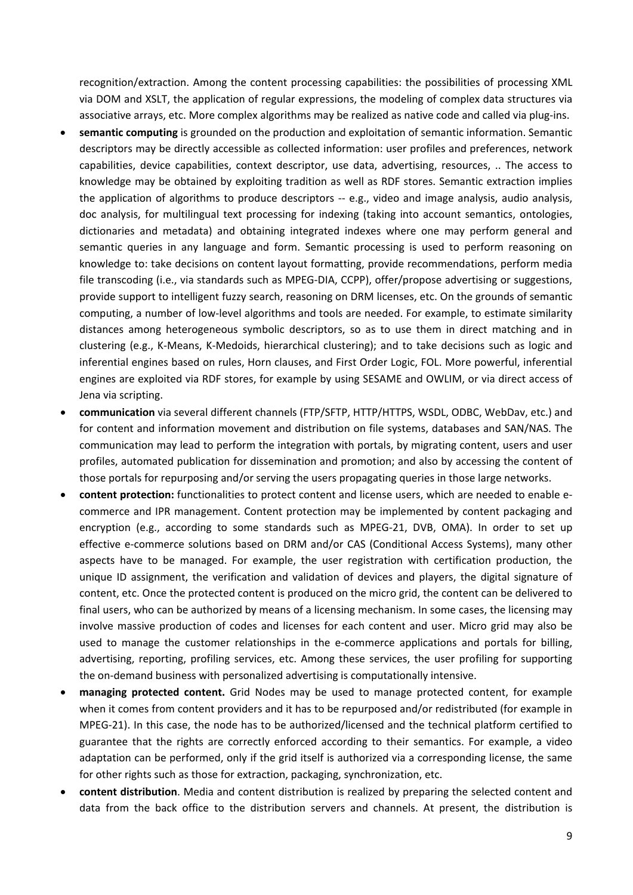recognition/extraction. Among the content processing capabilities: the possibilities of processing XML via DOM and XSLT, the application of regular expressions, the modeling of complex data structures via associative arrays, etc. More complex algorithms may be realized as native code and called via plug-ins.

- **semantic computing** is grounded on the production and exploitation of semantic information. Semantic descriptors may be directly accessible as collected information: user profiles and preferences, network capabilities, device capabilities, context descriptor, use data, advertising, resources, .. The access to knowledge may be obtained by exploiting tradition as well as RDF stores. Semantic extraction implies the application of algorithms to produce descriptors ‐‐ e.g., video and image analysis, audio analysis, doc analysis, for multilingual text processing for indexing (taking into account semantics, ontologies, dictionaries and metadata) and obtaining integrated indexes where one may perform general and semantic queries in any language and form. Semantic processing is used to perform reasoning on knowledge to: take decisions on content layout formatting, provide recommendations, perform media file transcoding (i.e., via standards such as MPEG‐DIA, CCPP), offer/propose advertising or suggestions, provide support to intelligent fuzzy search, reasoning on DRM licenses, etc. On the grounds of semantic computing, a number of low‐level algorithms and tools are needed. For example, to estimate similarity distances among heterogeneous symbolic descriptors, so as to use them in direct matching and in clustering (e.g., K‐Means, K‐Medoids, hierarchical clustering); and to take decisions such as logic and inferential engines based on rules, Horn clauses, and First Order Logic, FOL. More powerful, inferential engines are exploited via RDF stores, for example by using SESAME and OWLIM, or via direct access of Jena via scripting.
- **communication** via several different channels (FTP/SFTP, HTTP/HTTPS, WSDL, ODBC, WebDav, etc.) and for content and information movement and distribution on file systems, databases and SAN/NAS. The communication may lead to perform the integration with portals, by migrating content, users and user profiles, automated publication for dissemination and promotion; and also by accessing the content of those portals for repurposing and/or serving the users propagating queries in those large networks.
- **content protection:** functionalities to protect content and license users, which are needed to enable e‐ commerce and IPR management. Content protection may be implemented by content packaging and encryption (e.g., according to some standards such as MPEG-21, DVB, OMA). In order to set up effective e-commerce solutions based on DRM and/or CAS (Conditional Access Systems), many other aspects have to be managed. For example, the user registration with certification production, the unique ID assignment, the verification and validation of devices and players, the digital signature of content, etc. Once the protected content is produced on the micro grid, the content can be delivered to final users, who can be authorized by means of a licensing mechanism. In some cases, the licensing may involve massive production of codes and licenses for each content and user. Micro grid may also be used to manage the customer relationships in the e-commerce applications and portals for billing, advertising, reporting, profiling services, etc. Among these services, the user profiling for supporting the on-demand business with personalized advertising is computationally intensive.
- **managing protected content.** Grid Nodes may be used to manage protected content, for example when it comes from content providers and it has to be repurposed and/or redistributed (for example in MPEG‐21). In this case, the node has to be authorized/licensed and the technical platform certified to guarantee that the rights are correctly enforced according to their semantics. For example, a video adaptation can be performed, only if the grid itself is authorized via a corresponding license, the same for other rights such as those for extraction, packaging, synchronization, etc.
- **content distribution**. Media and content distribution is realized by preparing the selected content and data from the back office to the distribution servers and channels. At present, the distribution is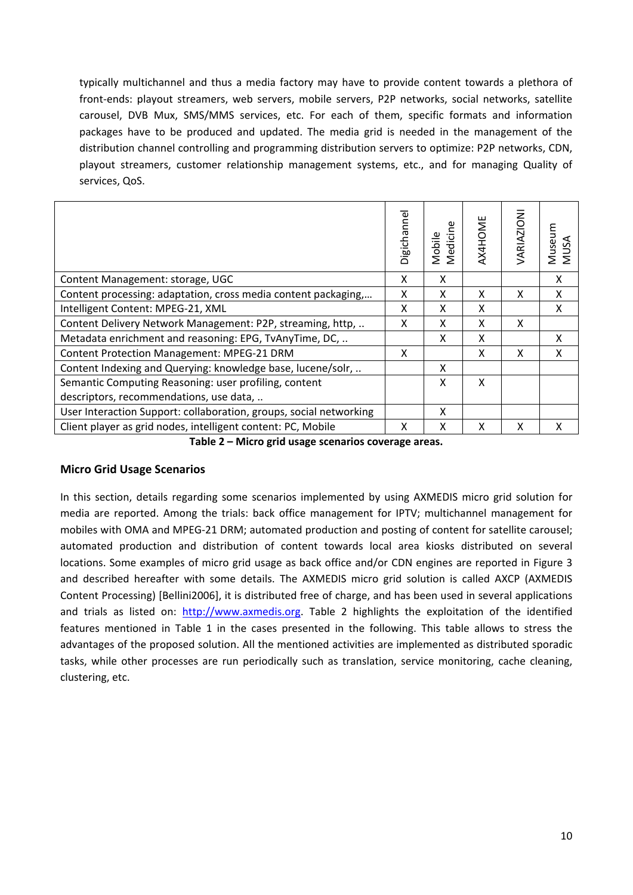typically multichannel and thus a media factory may have to provide content towards a plethora of front-ends: playout streamers, web servers, mobile servers, P2P networks, social networks, satellite carousel, DVB Mux, SMS/MMS services, etc. For each of them, specific formats and information packages have to be produced and updated. The media grid is needed in the management of the distribution channel controlling and programming distribution servers to optimize: P2P networks, CDN, playout streamers, customer relationship management systems, etc., and for managing Quality of services, QoS.

|                                                                    | Digichannel | Mobile<br>Medicine | <b>AX4HOME</b> | <b>ARIAZIONI</b> | Museu<br>MUSA |
|--------------------------------------------------------------------|-------------|--------------------|----------------|------------------|---------------|
| Content Management: storage, UGC                                   | x           | X                  |                |                  | х             |
| Content processing: adaptation, cross media content packaging,     | X           | x                  | X              | X                | X             |
| Intelligent Content: MPEG-21, XML                                  | X           | X                  | x              |                  | X             |
| Content Delivery Network Management: P2P, streaming, http,         | x           | x                  | x              | x                |               |
| Metadata enrichment and reasoning: EPG, TvAnyTime, DC,             |             | X                  | x              |                  | x             |
| <b>Content Protection Management: MPEG-21 DRM</b>                  | X           |                    | x              | x                | X             |
| Content Indexing and Querying: knowledge base, lucene/solr,        |             | x                  |                |                  |               |
| Semantic Computing Reasoning: user profiling, content              |             | X                  | X              |                  |               |
| descriptors, recommendations, use data,                            |             |                    |                |                  |               |
| User Interaction Support: collaboration, groups, social networking |             | X                  |                |                  |               |
| Client player as grid nodes, intelligent content: PC, Mobile       | x           | X                  | x              | χ                | χ             |

**Table 2 – Micro grid usage scenarios coverage areas.**

## **Micro Grid Usage Scenarios**

In this section, details regarding some scenarios implemented by using AXMEDIS micro grid solution for media are reported. Among the trials: back office management for IPTV; multichannel management for mobiles with OMA and MPEG‐21 DRM; automated production and posting of content for satellite carousel; automated production and distribution of content towards local area kiosks distributed on several locations. Some examples of micro grid usage as back office and/or CDN engines are reported in Figure 3 and described hereafter with some details. The AXMEDIS micro grid solution is called AXCP (AXMEDIS Content Processing) [Bellini2006], it is distributed free of charge, and has been used in several applications and trials as listed on: http://www.axmedis.org. Table 2 highlights the exploitation of the identified features mentioned in Table 1 in the cases presented in the following. This table allows to stress the advantages of the proposed solution. All the mentioned activities are implemented as distributed sporadic tasks, while other processes are run periodically such as translation, service monitoring, cache cleaning, clustering, etc.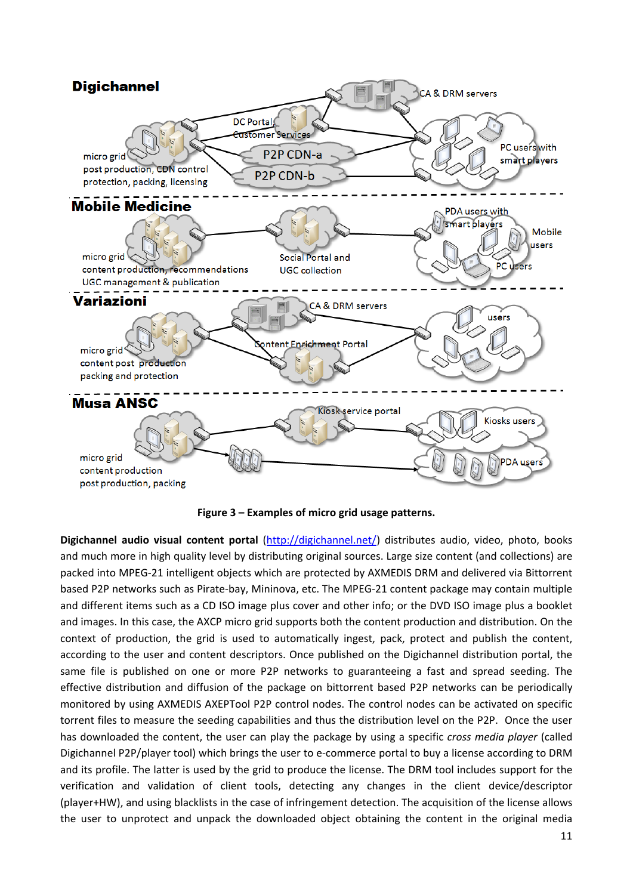

**Figure 3 – Examples of micro grid usage patterns.**

**Digichannel audio visual content portal** (http://digichannel.net/) distributes audio, video, photo, books and much more in high quality level by distributing original sources. Large size content (and collections) are packed into MPEG‐21 intelligent objects which are protected by AXMEDIS DRM and delivered via Bittorrent based P2P networks such as Pirate‐bay, Mininova, etc. The MPEG‐21 content package may contain multiple and different items such as a CD ISO image plus cover and other info; or the DVD ISO image plus a booklet and images. In this case, the AXCP micro grid supports both the content production and distribution. On the context of production, the grid is used to automatically ingest, pack, protect and publish the content, according to the user and content descriptors. Once published on the Digichannel distribution portal, the same file is published on one or more P2P networks to guaranteeing a fast and spread seeding. The effective distribution and diffusion of the package on bittorrent based P2P networks can be periodically monitored by using AXMEDIS AXEPTool P2P control nodes. The control nodes can be activated on specific torrent files to measure the seeding capabilities and thus the distribution level on the P2P. Once the user has downloaded the content, the user can play the package by using a specific *cross media player* (called Digichannel P2P/player tool) which brings the user to e-commerce portal to buy a license according to DRM and its profile. The latter is used by the grid to produce the license. The DRM tool includes support for the verification and validation of client tools, detecting any changes in the client device/descriptor (player+HW), and using blacklists in the case of infringement detection. The acquisition of the license allows the user to unprotect and unpack the downloaded object obtaining the content in the original media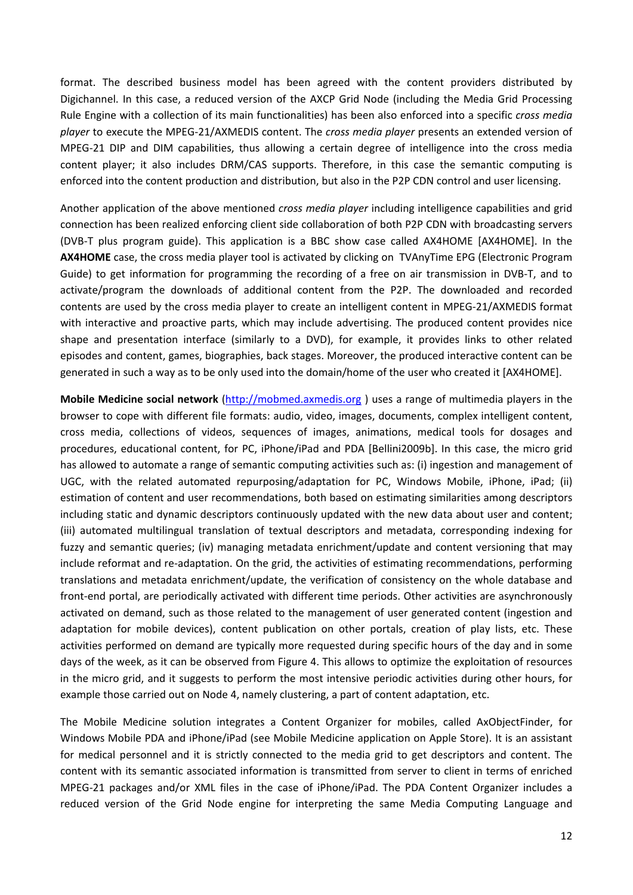format. The described business model has been agreed with the content providers distributed by Digichannel. In this case, a reduced version of the AXCP Grid Node (including the Media Grid Processing Rule Engine with a collection of its main functionalities) has been also enforced into a specific *cross media player* to execute the MPEG‐21/AXMEDIS content. The *cross media player* presents an extended version of MPEG‐21 DIP and DIM capabilities, thus allowing a certain degree of intelligence into the cross media content player; it also includes DRM/CAS supports. Therefore, in this case the semantic computing is enforced into the content production and distribution, but also in the P2P CDN control and user licensing.

Another application of the above mentioned *cross media player* including intelligence capabilities and grid connection has been realized enforcing client side collaboration of both P2P CDN with broadcasting servers (DVB‐T plus program guide). This application is a BBC show case called AX4HOME [AX4HOME]. In the **AX4HOME** case, the cross media player tool is activated by clicking on TVAnyTime EPG (Electronic Program Guide) to get information for programming the recording of a free on air transmission in DVB‐T, and to activate/program the downloads of additional content from the P2P. The downloaded and recorded contents are used by the cross media player to create an intelligent content in MPEG‐21/AXMEDIS format with interactive and proactive parts, which may include advertising. The produced content provides nice shape and presentation interface (similarly to a DVD), for example, it provides links to other related episodes and content, games, biographies, back stages. Moreover, the produced interactive content can be generated in such a way as to be only used into the domain/home of the user who created it [AX4HOME].

**Mobile Medicine social network** (http://mobmed.axmedis.org ) uses a range of multimedia players in the browser to cope with different file formats: audio, video, images, documents, complex intelligent content, cross media, collections of videos, sequences of images, animations, medical tools for dosages and procedures, educational content, for PC, iPhone/iPad and PDA [Bellini2009b]. In this case, the micro grid has allowed to automate a range of semantic computing activities such as: (i) ingestion and management of UGC, with the related automated repurposing/adaptation for PC, Windows Mobile, iPhone, iPad; (ii) estimation of content and user recommendations, both based on estimating similarities among descriptors including static and dynamic descriptors continuously updated with the new data about user and content; (iii) automated multilingual translation of textual descriptors and metadata, corresponding indexing for fuzzy and semantic queries; (iv) managing metadata enrichment/update and content versioning that may include reformat and re‐adaptation. On the grid, the activities of estimating recommendations, performing translations and metadata enrichment/update, the verification of consistency on the whole database and front-end portal, are periodically activated with different time periods. Other activities are asynchronously activated on demand, such as those related to the management of user generated content (ingestion and adaptation for mobile devices), content publication on other portals, creation of play lists, etc. These activities performed on demand are typically more requested during specific hours of the day and in some days of the week, as it can be observed from Figure 4. This allows to optimize the exploitation of resources in the micro grid, and it suggests to perform the most intensive periodic activities during other hours, for example those carried out on Node 4, namely clustering, a part of content adaptation, etc.

The Mobile Medicine solution integrates a Content Organizer for mobiles, called AxObjectFinder, for Windows Mobile PDA and iPhone/iPad (see Mobile Medicine application on Apple Store). It is an assistant for medical personnel and it is strictly connected to the media grid to get descriptors and content. The content with its semantic associated information is transmitted from server to client in terms of enriched MPEG‐21 packages and/or XML files in the case of iPhone/iPad. The PDA Content Organizer includes a reduced version of the Grid Node engine for interpreting the same Media Computing Language and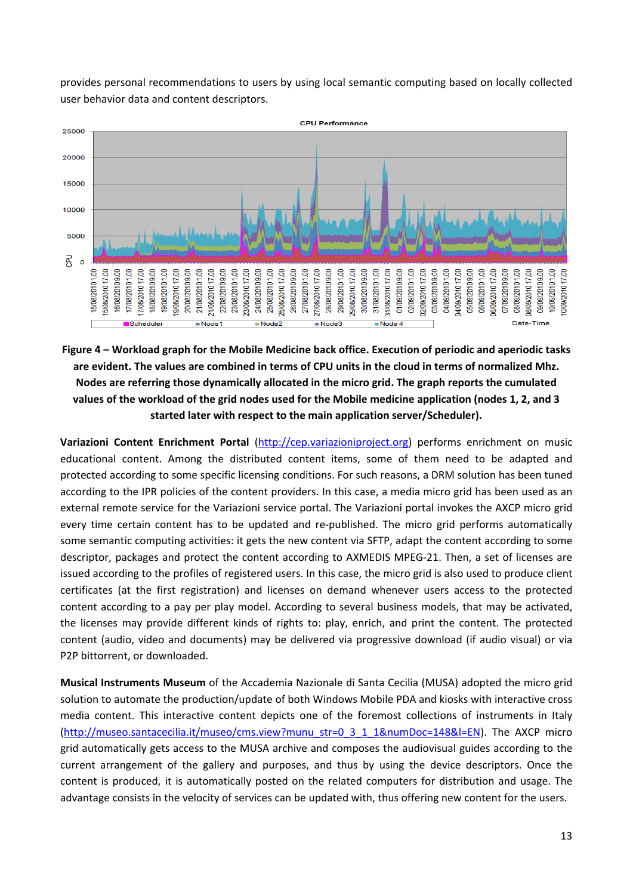provides personal recommendations to users by using local semantic computing based on locally collected user behavior data and content descriptors.



**Figure 4 – Workload graph for the Mobile Medicine back office. Execution of periodic and aperiodic tasks** are evident. The values are combined in terms of CPU units in the cloud in terms of normalized Mhz. **Nodes are referring those dynamically allocated in the micro grid. The graph reports the cumulated** values of the workload of the grid nodes used for the Mobile medicine application (nodes 1, 2, and 3 **started later with respect to the main application server/Scheduler).** 

**Variazioni Content Enrichment Portal** (http://cep.variazioniproject.org) performs enrichment on music educational content. Among the distributed content items, some of them need to be adapted and protected according to some specific licensing conditions. For such reasons, a DRM solution has been tuned according to the IPR policies of the content providers. In this case, a media micro grid has been used as an external remote service for the Variazioni service portal. The Variazioni portal invokes the AXCP micro grid every time certain content has to be updated and re-published. The micro grid performs automatically some semantic computing activities: it gets the new content via SFTP, adapt the content according to some descriptor, packages and protect the content according to AXMEDIS MPEG‐21. Then, a set of licenses are issued according to the profiles of registered users. In this case, the micro grid is also used to produce client certificates (at the first registration) and licenses on demand whenever users access to the protected content according to a pay per play model. According to several business models, that may be activated, the licenses may provide different kinds of rights to: play, enrich, and print the content. The protected content (audio, video and documents) may be delivered via progressive download (if audio visual) or via P2P bittorrent, or downloaded.

**Musical Instruments Museum** of the Accademia Nazionale di Santa Cecilia (MUSA) adopted the micro grid solution to automate the production/update of both Windows Mobile PDA and kiosks with interactive cross media content. This interactive content depicts one of the foremost collections of instruments in Italy (http://museo.santacecilia.it/museo/cms.view?munu\_str=0\_3\_1\_1&numDoc=148&l=EN). The AXCP micro grid automatically gets access to the MUSA archive and composes the audiovisual guides according to the current arrangement of the gallery and purposes, and thus by using the device descriptors. Once the content is produced, it is automatically posted on the related computers for distribution and usage. The advantage consists in the velocity of services can be updated with, thus offering new content for the users.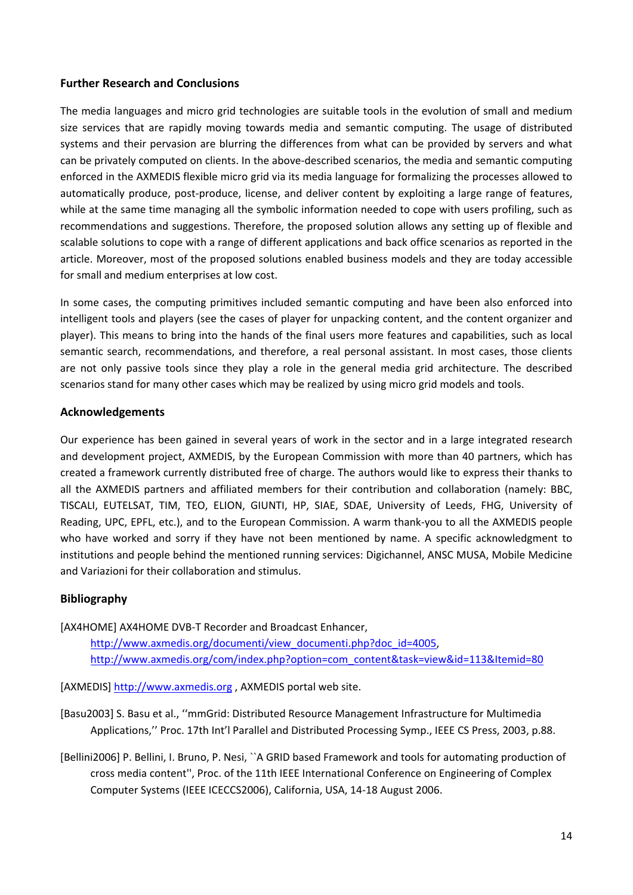#### **Further Research and Conclusions**

The media languages and micro grid technologies are suitable tools in the evolution of small and medium size services that are rapidly moving towards media and semantic computing. The usage of distributed systems and their pervasion are blurring the differences from what can be provided by servers and what can be privately computed on clients. In the above‐described scenarios, the media and semantic computing enforced in the AXMEDIS flexible micro grid via its media language for formalizing the processes allowed to automatically produce, post‐produce, license, and deliver content by exploiting a large range of features, while at the same time managing all the symbolic information needed to cope with users profiling, such as recommendations and suggestions. Therefore, the proposed solution allows any setting up of flexible and scalable solutions to cope with a range of different applications and back office scenarios as reported in the article. Moreover, most of the proposed solutions enabled business models and they are today accessible for small and medium enterprises at low cost.

In some cases, the computing primitives included semantic computing and have been also enforced into intelligent tools and players (see the cases of player for unpacking content, and the content organizer and player). This means to bring into the hands of the final users more features and capabilities, such as local semantic search, recommendations, and therefore, a real personal assistant. In most cases, those clients are not only passive tools since they play a role in the general media grid architecture. The described scenarios stand for many other cases which may be realized by using micro grid models and tools.

#### **Acknowledgements**

Our experience has been gained in several years of work in the sector and in a large integrated research and development project, AXMEDIS, by the European Commission with more than 40 partners, which has created a framework currently distributed free of charge. The authors would like to express their thanks to all the AXMEDIS partners and affiliated members for their contribution and collaboration (namely: BBC, TISCALI, EUTELSAT, TIM, TEO, ELION, GIUNTI, HP, SIAE, SDAE, University of Leeds, FHG, University of Reading, UPC, EPFL, etc.), and to the European Commission. A warm thank‐you to all the AXMEDIS people who have worked and sorry if they have not been mentioned by name. A specific acknowledgment to institutions and people behind the mentioned running services: Digichannel, ANSC MUSA, Mobile Medicine and Variazioni for their collaboration and stimulus.

#### **Bibliography**

[AX4HOME] AX4HOME DVB‐T Recorder and Broadcast Enhancer,

http://www.axmedis.org/documenti/view\_documenti.php?doc\_id=4005, http://www.axmedis.org/com/index.php?option=com\_content&task=view&id=113&Itemid=80

[AXMEDIS] http://www.axmedis.org , AXMEDIS portal web site.

[Basu2003] S. Basu et al., ''mmGrid: Distributed Resource Management Infrastructure for Multimedia Applications,'' Proc. 17th Int'l Parallel and Distributed Processing Symp., IEEE CS Press, 2003, p.88.

[Bellini2006] P. Bellini, I. Bruno, P. Nesi, ``A GRID based Framework and tools for automating production of cross media content'', Proc. of the 11th IEEE International Conference on Engineering of Complex Computer Systems (IEEE ICECCS2006), California, USA, 14‐18 August 2006.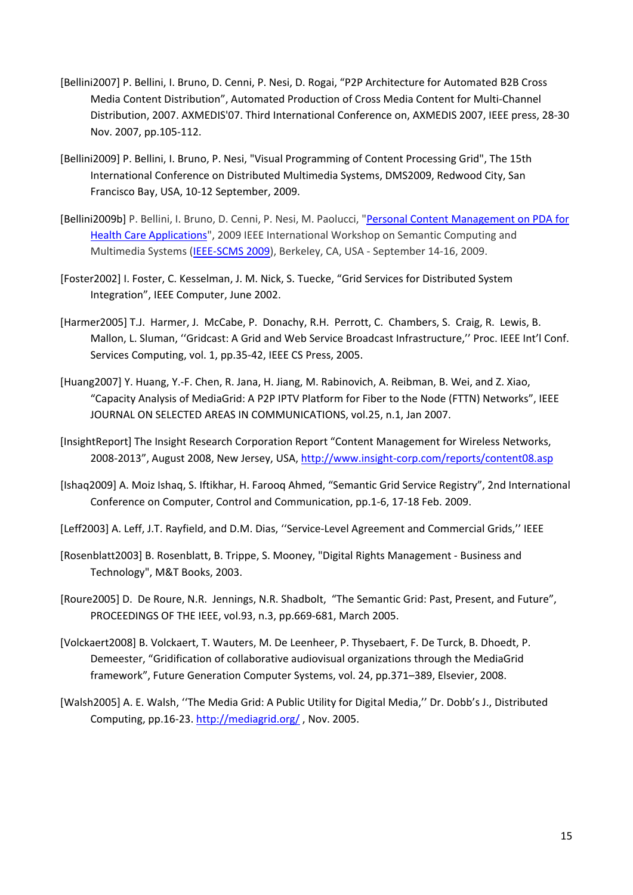- [Bellini2007] P. Bellini, I. Bruno, D. Cenni, P. Nesi, D. Rogai, "P2P Architecture for Automated B2B Cross Media Content Distribution", Automated Production of Cross Media Content for Multi‐Channel Distribution, 2007. AXMEDIS'07. Third International Conference on, AXMEDIS 2007, IEEE press, 28‐30 Nov. 2007, pp.105‐112.
- [Bellini2009] P. Bellini, I. Bruno, P. Nesi, "Visual Programming of Content Processing Grid", The 15th International Conference on Distributed Multimedia Systems, DMS2009, Redwood City, San Francisco Bay, USA, 10‐12 September, 2009.
- [Bellini2009b] P. Bellini, I. Bruno, D. Cenni, P. Nesi, M. Paolucci, "Personal Content Management on PDA for Health Care Applications", 2009 IEEE International Workshop on Semantic Computing and Multimedia Systems (IEEE‐SCMS 2009), Berkeley, CA, USA ‐ September 14‐16, 2009.
- [Foster2002] I. Foster, C. Kesselman, J. M. Nick, S. Tuecke, "Grid Services for Distributed System Integration", IEEE Computer, June 2002.
- [Harmer2005] T.J. Harmer, J. McCabe, P. Donachy, R.H. Perrott, C. Chambers, S. Craig, R. Lewis, B. Mallon, L. Sluman, ''Gridcast: A Grid and Web Service Broadcast Infrastructure,'' Proc. IEEE Int'l Conf. Services Computing, vol. 1, pp.35‐42, IEEE CS Press, 2005.
- [Huang2007] Y. Huang, Y.‐F. Chen, R. Jana, H. Jiang, M. Rabinovich, A. Reibman, B. Wei, and Z. Xiao, "Capacity Analysis of MediaGrid: A P2P IPTV Platform for Fiber to the Node (FTTN) Networks", IEEE JOURNAL ON SELECTED AREAS IN COMMUNICATIONS, vol.25, n.1, Jan 2007.
- [InsightReport] The Insight Research Corporation Report "Content Management for Wireless Networks, 2008-2013", August 2008, New Jersey, USA, http://www.insight-corp.com/reports/content08.asp
- [Ishaq2009] A. Moiz Ishaq, S. Iftikhar, H. Farooq Ahmed, "Semantic Grid Service Registry", 2nd International Conference on Computer, Control and Communication, pp.1‐6, 17‐18 Feb. 2009.
- [Leff2003] A. Leff, J.T. Rayfield, and D.M. Dias, ''Service‐Level Agreement and Commercial Grids,'' IEEE
- [Rosenblatt2003] B. Rosenblatt, B. Trippe, S. Mooney, "Digital Rights Management ‐ Business and Technology", M&T Books, 2003.
- [Roure2005] D. De Roure, N.R. Jennings, N.R. Shadbolt, "The Semantic Grid: Past, Present, and Future", PROCEEDINGS OF THE IEEE, vol.93, n.3, pp.669‐681, March 2005.
- [Volckaert2008] B. Volckaert, T. Wauters, M. De Leenheer, P. Thysebaert, F. De Turck, B. Dhoedt, P. Demeester, "Gridification of collaborative audiovisual organizations through the MediaGrid framework", Future Generation Computer Systems, vol. 24, pp.371–389, Elsevier, 2008.
- [Walsh2005] A. E. Walsh, ''The Media Grid: A Public Utility for Digital Media,'' Dr. Dobb's J., Distributed Computing, pp.16‐23. http://mediagrid.org/ , Nov. 2005.